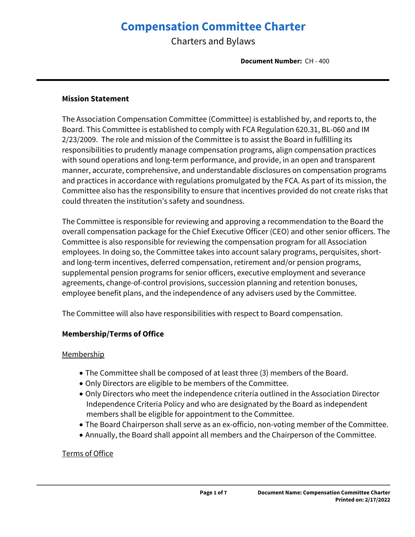# **Compensation Committee Charter**

Charters and Bylaws

**Document Number:** CH - 400

#### **Mission Statement**

The Association Compensation Committee (Committee) is established by, and reports to, the Board. This Committee is established to comply with FCA Regulation 620.31, BL-060 and IM 2/23/2009. The role and mission of the Committee is to assist the Board in fulfilling its responsibilities to prudently manage compensation programs, align compensation practices with sound operations and long-term performance, and provide, in an open and transparent manner, accurate, comprehensive, and understandable disclosures on compensation programs and practices in accordance with regulations promulgated by the FCA. As part of its mission, the Committee also has the responsibility to ensure that incentives provided do not create risks that could threaten the institution's safety and soundness.

The Committee is responsible for reviewing and approving a recommendation to the Board the overall compensation package for the Chief Executive Officer (CEO) and other senior officers. The Committee is also responsible for reviewing the compensation program for all Association employees. In doing so, the Committee takes into account salary programs, perquisites, shortand long-term incentives, deferred compensation, retirement and/or pension programs, supplemental pension programs for senior officers, executive employment and severance agreements, change-of-control provisions, succession planning and retention bonuses, employee benefit plans, and the independence of any advisers used by the Committee.

The Committee will also have responsibilities with respect to Board compensation.

# **Membership/Terms of Office**

# **Membership**

- The Committee shall be composed of at least three (3) members of the Board.
- Only Directors are eligible to be members of the Committee.
- Only Directors who meet the independence criteria outlined in the Association Director Independence Criteria Policy and who are designated by the Board as independent members shall be eligible for appointment to the Committee.
- The Board Chairperson shall serve as an ex-officio, non-voting member of the Committee.
- Annually, the Board shall appoint all members and the Chairperson of the Committee.

# Terms of Office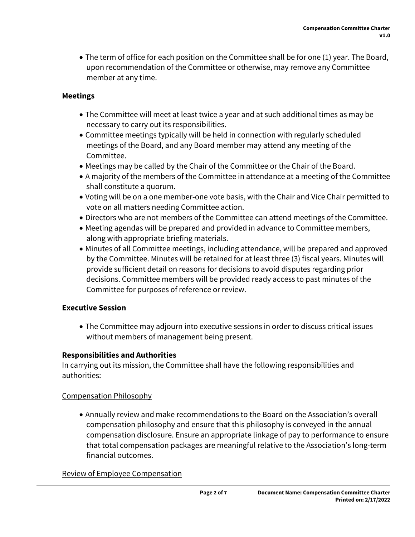• The term of office for each position on the Committee shall be for one (1) year. The Board, upon recommendation of the Committee or otherwise, may remove any Committee member at any time.

# **Meetings**

- The Committee will meet at least twice a year and at such additional times as may be necessary to carry out its responsibilities.
- Committee meetings typically will be held in connection with regularly scheduled meetings of the Board, and any Board member may attend any meeting of the Committee.
- Meetings may be called by the Chair of the Committee or the Chair of the Board.
- A majority of the members of the Committee in attendance at a meeting of the Committee shall constitute a quorum.
- Voting will be on a one member-one vote basis, with the Chair and Vice Chair permitted to vote on all matters needing Committee action.
- Directors who are not members of the Committee can attend meetings of the Committee.
- Meeting agendas will be prepared and provided in advance to Committee members, along with appropriate briefing materials.
- Minutes of all Committee meetings, including attendance, will be prepared and approved by the Committee. Minutes will be retained for at least three (3) fiscal years. Minutes will provide sufficient detail on reasons for decisions to avoid disputes regarding prior decisions. Committee members will be provided ready access to past minutes of the Committee for purposes of reference or review.

# **Executive Session**

 The Committee may adjourn into executive sessions in order to discuss critical issues without members of management being present.

#### **Responsibilities and Authorities**

In carrying out its mission, the Committee shall have the following responsibilities and authorities:

#### Compensation Philosophy

 Annually review and make recommendations to the Board on the Association's overall compensation philosophy and ensure that this philosophy is conveyed in the annual compensation disclosure. Ensure an appropriate linkage of pay to performance to ensure that total compensation packages are meaningful relative to the Association's long-term financial outcomes.

#### Review of Employee Compensation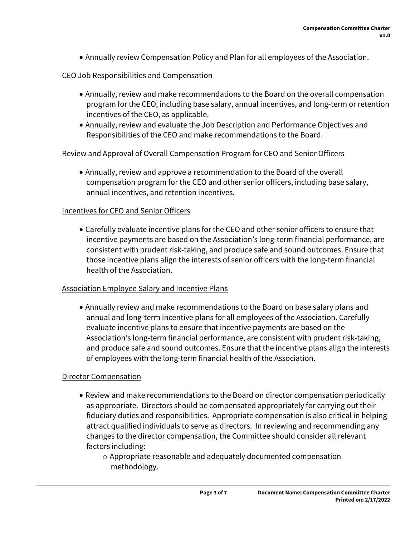Annually review Compensation Policy and Plan for all employees of the Association.

#### CEO Job Responsibilities and Compensation

- Annually, review and make recommendations to the Board on the overall compensation program for the CEO, including base salary, annual incentives, and long-term or retention incentives of the CEO, as applicable.
- Annually, review and evaluate the Job Description and Performance Objectives and Responsibilities of the CEO and make recommendations to the Board.

## Review and Approval of Overall Compensation Program for CEO and Senior Officers

 Annually, review and approve a recommendation to the Board of the overall compensation program for the CEO and other senior officers, including base salary, annual incentives, and retention incentives.

#### Incentives for CEO and Senior Officers

 Carefully evaluate incentive plans for the CEO and other senior officers to ensure that incentive payments are based on the Association's long-term financial performance, are consistent with prudent risk-taking, and produce safe and sound outcomes. Ensure that those incentive plans align the interests of senior officers with the long-term financial health of the Association.

#### Association Employee Salary and Incentive Plans

 Annually review and make recommendations to the Board on base salary plans and annual and long-term incentive plans for all employees of the Association. Carefully evaluate incentive plans to ensure that incentive payments are based on the Association's long-term financial performance, are consistent with prudent risk-taking, and produce safe and sound outcomes. Ensure that the incentive plans align the interests of employees with the long-term financial health of the Association.

#### Director Compensation

- Review and make recommendations to the Board on director compensation periodically as appropriate. Directors should be compensated appropriately for carrying out their fiduciary duties and responsibilities. Appropriate compensation is also critical in helping attract qualified individuals to serve as directors. In reviewing and recommending any changes to the director compensation, the Committee should consider all relevant factors including:
	- o Appropriate reasonable and adequately documented compensation methodology.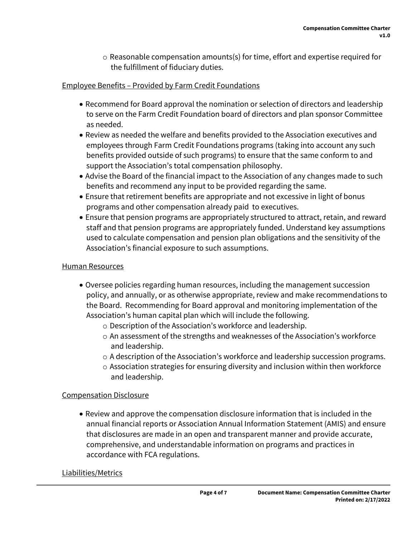$\circ$  Reasonable compensation amounts(s) for time, effort and expertise required for the fulfillment of fiduciary duties.

# Employee Benefits – Provided by Farm Credit Foundations

- Recommend for Board approval the nomination or selection of directors and leadership to serve on the Farm Credit Foundation board of directors and plan sponsor Committee as needed.
- Review as needed the welfare and benefits provided to the Association executives and employees through Farm Credit Foundations programs (taking into account any such benefits provided outside of such programs) to ensure that the same conform to and support the Association's total compensation philosophy.
- Advise the Board of the financial impact to the Association of any changes made to such benefits and recommend any input to be provided regarding the same.
- Ensure that retirement benefits are appropriate and not excessive in light of bonus programs and other compensation already paid to executives.
- Ensure that pension programs are appropriately structured to attract, retain, and reward staff and that pension programs are appropriately funded. Understand key assumptions used to calculate compensation and pension plan obligations and the sensitivity of the Association's financial exposure to such assumptions.

# Human Resources

- Oversee policies regarding human resources, including the management succession policy, and annually, or as otherwise appropriate, review and make recommendations to the Board. Recommending for Board approval and monitoring implementation of the Association's human capital plan which will include the following.
	- o Description of the Association's workforce and leadership.
	- $\circ$  An assessment of the strengths and weaknesses of the Association's workforce and leadership.
	- $\circ$  A description of the Association's workforce and leadership succession programs.
	- $\circ$  Association strategies for ensuring diversity and inclusion within then workforce and leadership.

# Compensation Disclosure

 Review and approve the compensation disclosure information that is included in the annual financial reports or Association Annual Information Statement (AMIS) and ensure that disclosures are made in an open and transparent manner and provide accurate, comprehensive, and understandable information on programs and practices in accordance with FCA regulations.

# Liabilities/Metrics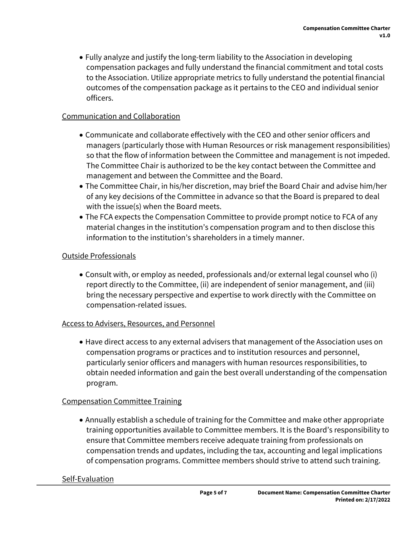Fully analyze and justify the long-term liability to the Association in developing compensation packages and fully understand the financial commitment and total costs to the Association. Utilize appropriate metrics to fully understand the potential financial outcomes of the compensation package as it pertains to the CEO and individual senior officers.

# Communication and Collaboration

- Communicate and collaborate effectively with the CEO and other senior officers and managers (particularly those with Human Resources or risk management responsibilities) so that the flow of information between the Committee and management is not impeded. The Committee Chair is authorized to be the key contact between the Committee and management and between the Committee and the Board.
- The Committee Chair, in his/her discretion, may brief the Board Chair and advise him/her of any key decisions of the Committee in advance so that the Board is prepared to deal with the issue(s) when the Board meets.
- The FCA expects the Compensation Committee to provide prompt notice to FCA of any material changes in the institution's compensation program and to then disclose this information to the institution's shareholders in a timely manner.

# Outside Professionals

 Consult with, or employ as needed, professionals and/or external legal counsel who (i) report directly to the Committee, (ii) are independent of senior management, and (iii) bring the necessary perspective and expertise to work directly with the Committee on compensation-related issues.

# Access to Advisers, Resources, and Personnel

 Have direct access to any external advisers that management of the Association uses on compensation programs or practices and to institution resources and personnel, particularly senior officers and managers with human resources responsibilities, to obtain needed information and gain the best overall understanding of the compensation program.

# Compensation Committee Training

 Annually establish a schedule of training for the Committee and make other appropriate training opportunities available to Committee members. It is the Board's responsibility to ensure that Committee members receive adequate training from professionals on compensation trends and updates, including the tax, accounting and legal implications of compensation programs. Committee members should strive to attend such training.

# Self-Evaluation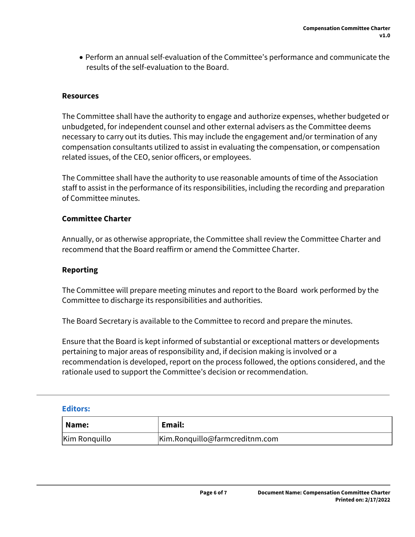Perform an annual self-evaluation of the Committee's performance and communicate the results of the self-evaluation to the Board.

#### **Resources**

The Committee shall have the authority to engage and authorize expenses, whether budgeted or unbudgeted, for independent counsel and other external advisers as the Committee deems necessary to carry out its duties. This may include the engagement and/or termination of any compensation consultants utilized to assist in evaluating the compensation, or compensation related issues, of the CEO, senior officers, or employees.

The Committee shall have the authority to use reasonable amounts of time of the Association staff to assist in the performance of its responsibilities, including the recording and preparation of Committee minutes.

#### **Committee Charter**

Annually, or as otherwise appropriate, the Committee shall review the Committee Charter and recommend that the Board reaffirm or amend the Committee Charter.

#### **Reporting**

The Committee will prepare meeting minutes and report to the Board work performed by the Committee to discharge its responsibilities and authorities.

The Board Secretary is available to the Committee to record and prepare the minutes.

Ensure that the Board is kept informed of substantial or exceptional matters or developments pertaining to major areas of responsibility and, if decision making is involved or a recommendation is developed, report on the process followed, the options considered, and the rationale used to support the Committee's decision or recommendation.

#### **Editors:**

| Name:         | Email:                         |
|---------------|--------------------------------|
| Kim Ronquillo | Kim.Ronquillo@farmcreditnm.com |